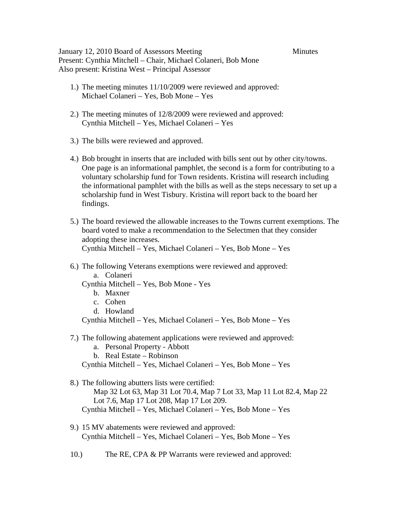January 12, 2010 Board of Assessors Meeting Minutes Present: Cynthia Mitchell – Chair, Michael Colaneri, Bob Mone Also present: Kristina West – Principal Assessor

- 1.) The meeting minutes 11/10/2009 were reviewed and approved: Michael Colaneri – Yes, Bob Mone – Yes
- 2.) The meeting minutes of 12/8/2009 were reviewed and approved: Cynthia Mitchell – Yes, Michael Colaneri – Yes
- 3.) The bills were reviewed and approved.
- 4.) Bob brought in inserts that are included with bills sent out by other city/towns. One page is an informational pamphlet, the second is a form for contributing to a voluntary scholarship fund for Town residents. Kristina will research including the informational pamphlet with the bills as well as the steps necessary to set up a scholarship fund in West Tisbury. Kristina will report back to the board her findings.
- 5.) The board reviewed the allowable increases to the Towns current exemptions. The board voted to make a recommendation to the Selectmen that they consider adopting these increases. Cynthia Mitchell – Yes, Michael Colaneri – Yes, Bob Mone – Yes
- 6.) The following Veterans exemptions were reviewed and approved: a. Colaneri

Cynthia Mitchell – Yes, Bob Mone - Yes

- b. Maxner
- c. Cohen
- d. Howland

Cynthia Mitchell – Yes, Michael Colaneri – Yes, Bob Mone – Yes

- 7.) The following abatement applications were reviewed and approved:
	- a. Personal Property Abbott
	- b. Real Estate Robinson

Cynthia Mitchell – Yes, Michael Colaneri – Yes, Bob Mone – Yes

- 8.) The following abutters lists were certified: Map 32 Lot 63, Map 31 Lot 70.4, Map 7 Lot 33, Map 11 Lot 82.4, Map 22 Lot 7.6, Map 17 Lot 208, Map 17 Lot 209. Cynthia Mitchell – Yes, Michael Colaneri – Yes, Bob Mone – Yes
- 9.) 15 MV abatements were reviewed and approved: Cynthia Mitchell – Yes, Michael Colaneri – Yes, Bob Mone – Yes
- 10.) The RE, CPA & PP Warrants were reviewed and approved: